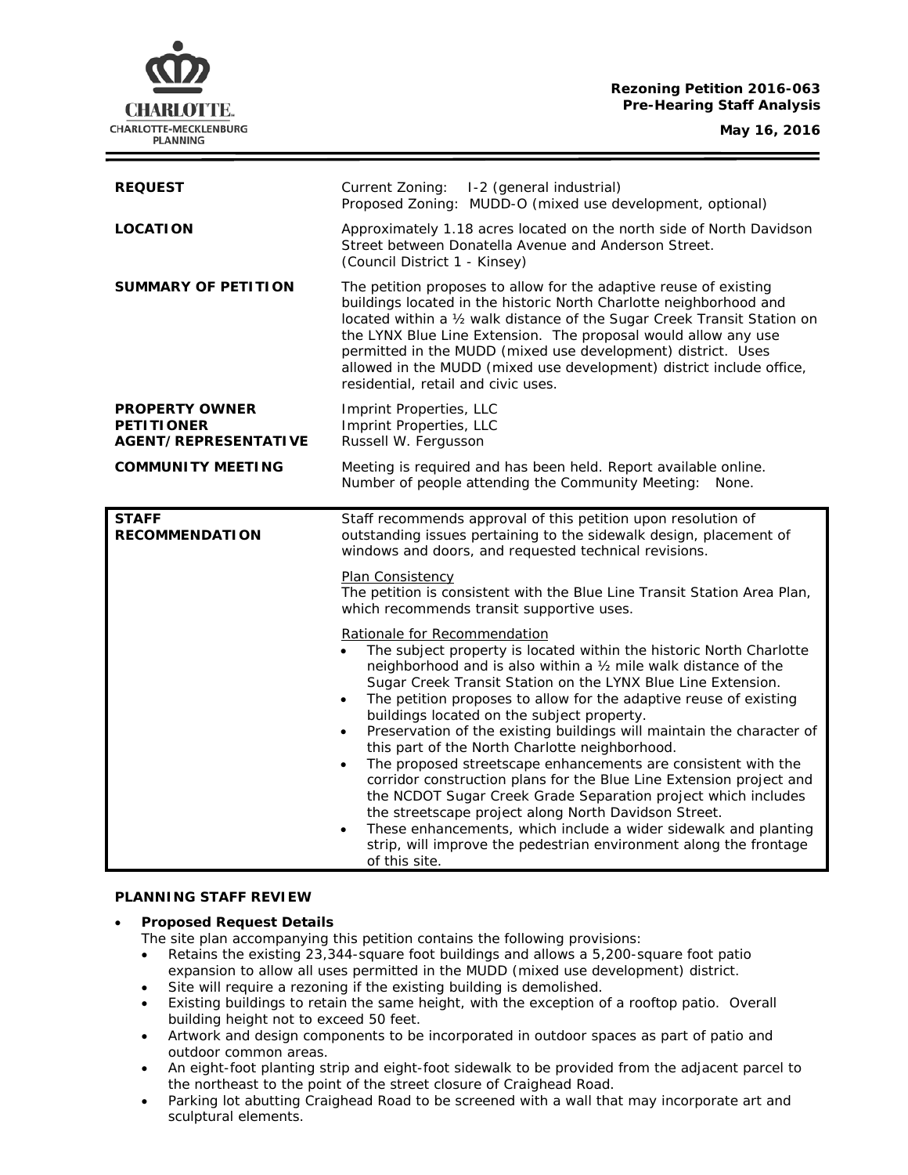# **Rezoning Petition 2016-063 Pre-Hearing Staff Analysis**

CHARLOTTE. CHARLOTTE-MECKLENBURG **PLANNING** 

| <b>REQUEST</b>                                                     | Current Zoning: I-2 (general industrial)<br>Proposed Zoning: MUDD-O (mixed use development, optional)                                                                                                                                                                                                                                                                                                                                                                                                                                                                                                                                                                                                                                                                                                                                                                                                                                                              |
|--------------------------------------------------------------------|--------------------------------------------------------------------------------------------------------------------------------------------------------------------------------------------------------------------------------------------------------------------------------------------------------------------------------------------------------------------------------------------------------------------------------------------------------------------------------------------------------------------------------------------------------------------------------------------------------------------------------------------------------------------------------------------------------------------------------------------------------------------------------------------------------------------------------------------------------------------------------------------------------------------------------------------------------------------|
| <b>LOCATION</b>                                                    | Approximately 1.18 acres located on the north side of North Davidson<br>Street between Donatella Avenue and Anderson Street.<br>(Council District 1 - Kinsey)                                                                                                                                                                                                                                                                                                                                                                                                                                                                                                                                                                                                                                                                                                                                                                                                      |
| <b>SUMMARY OF PETITION</b>                                         | The petition proposes to allow for the adaptive reuse of existing<br>buildings located in the historic North Charlotte neighborhood and<br>located within a 1/2 walk distance of the Sugar Creek Transit Station on<br>the LYNX Blue Line Extension. The proposal would allow any use<br>permitted in the MUDD (mixed use development) district. Uses<br>allowed in the MUDD (mixed use development) district include office,<br>residential, retail and civic uses.                                                                                                                                                                                                                                                                                                                                                                                                                                                                                               |
| <b>PROPERTY OWNER</b><br><b>PETITIONER</b><br>AGENT/REPRESENTATIVE | Imprint Properties, LLC<br>Imprint Properties, LLC<br>Russell W. Fergusson                                                                                                                                                                                                                                                                                                                                                                                                                                                                                                                                                                                                                                                                                                                                                                                                                                                                                         |
| <b>COMMUNITY MEETING</b>                                           | Meeting is required and has been held. Report available online.<br>Number of people attending the Community Meeting: None.                                                                                                                                                                                                                                                                                                                                                                                                                                                                                                                                                                                                                                                                                                                                                                                                                                         |
| <b>STAFF</b><br><b>RECOMMENDATION</b>                              | Staff recommends approval of this petition upon resolution of<br>outstanding issues pertaining to the sidewalk design, placement of<br>windows and doors, and requested technical revisions.                                                                                                                                                                                                                                                                                                                                                                                                                                                                                                                                                                                                                                                                                                                                                                       |
|                                                                    | Plan Consistency<br>The petition is consistent with the Blue Line Transit Station Area Plan,<br>which recommends transit supportive uses.                                                                                                                                                                                                                                                                                                                                                                                                                                                                                                                                                                                                                                                                                                                                                                                                                          |
|                                                                    | Rationale for Recommendation<br>The subject property is located within the historic North Charlotte<br>neighborhood and is also within a 1/2 mile walk distance of the<br>Sugar Creek Transit Station on the LYNX Blue Line Extension.<br>The petition proposes to allow for the adaptive reuse of existing<br>$\bullet$<br>buildings located on the subject property.<br>Preservation of the existing buildings will maintain the character of<br>$\bullet$<br>this part of the North Charlotte neighborhood.<br>The proposed streetscape enhancements are consistent with the<br>$\bullet$<br>corridor construction plans for the Blue Line Extension project and<br>the NCDOT Sugar Creek Grade Separation project which includes<br>the streetscape project along North Davidson Street.<br>These enhancements, which include a wider sidewalk and planting<br>$\bullet$<br>strip, will improve the pedestrian environment along the frontage<br>of this site. |

### **PLANNING STAFF REVIEW**

# • **Proposed Request Details**

The site plan accompanying this petition contains the following provisions:

- Retains the existing 23,344-square foot buildings and allows a 5,200-square foot patio expansion to allow all uses permitted in the MUDD (mixed use development) district.
- Site will require a rezoning if the existing building is demolished.
- Existing buildings to retain the same height, with the exception of a rooftop patio. Overall building height not to exceed 50 feet.
- Artwork and design components to be incorporated in outdoor spaces as part of patio and outdoor common areas.
- An eight-foot planting strip and eight-foot sidewalk to be provided from the adjacent parcel to the northeast to the point of the street closure of Craighead Road.
- Parking lot abutting Craighead Road to be screened with a wall that may incorporate art and sculptural elements.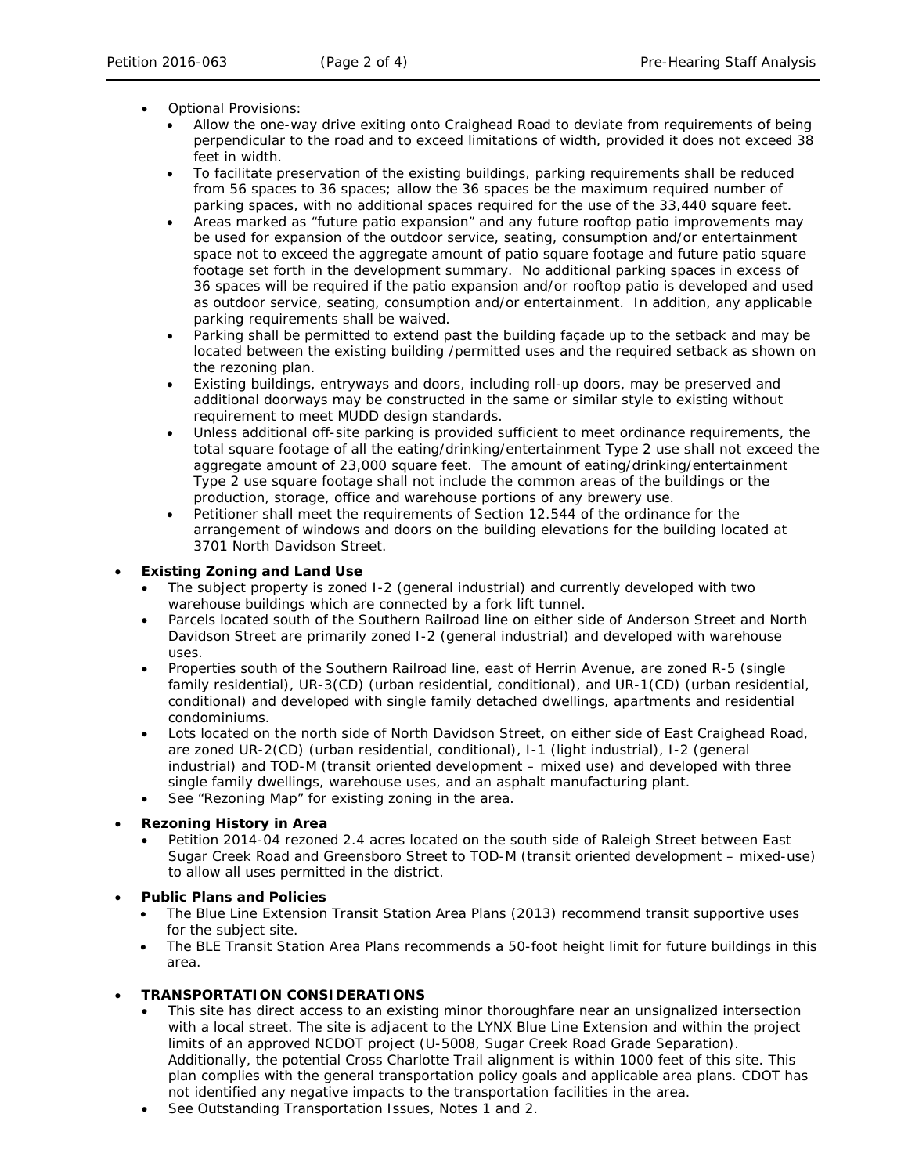- Optional Provisions:
	- Allow the one-way drive exiting onto Craighead Road to deviate from requirements of being perpendicular to the road and to exceed limitations of width, provided it does not exceed 38 feet in width.
	- To facilitate preservation of the existing buildings, parking requirements shall be reduced from 56 spaces to 36 spaces; allow the 36 spaces be the maximum required number of parking spaces, with no additional spaces required for the use of the 33,440 square feet.
	- Areas marked as "future patio expansion" and any future rooftop patio improvements may be used for expansion of the outdoor service, seating, consumption and/or entertainment space not to exceed the aggregate amount of patio square footage and future patio square footage set forth in the development summary. No additional parking spaces in excess of 36 spaces will be required if the patio expansion and/or rooftop patio is developed and used as outdoor service, seating, consumption and/or entertainment. In addition, any applicable parking requirements shall be waived.
	- Parking shall be permitted to extend past the building façade up to the setback and may be located between the existing building /permitted uses and the required setback as shown on the rezoning plan.
	- Existing buildings, entryways and doors, including roll-up doors, may be preserved and additional doorways may be constructed in the same or similar style to existing without requirement to meet MUDD design standards.
	- Unless additional off-site parking is provided sufficient to meet ordinance requirements, the total square footage of all the eating/drinking/entertainment Type 2 use shall not exceed the aggregate amount of 23,000 square feet. The amount of eating/drinking/entertainment Type 2 use square footage shall not include the common areas of the buildings or the production, storage, office and warehouse portions of any brewery use.
	- Petitioner shall meet the requirements of Section 12.544 of the ordinance for the arrangement of windows and doors on the building elevations for the building located at 3701 North Davidson Street.

## • **Existing Zoning and Land Use**

- The subject property is zoned I-2 (general industrial) and currently developed with two warehouse buildings which are connected by a fork lift tunnel.
- Parcels located south of the Southern Railroad line on either side of Anderson Street and North Davidson Street are primarily zoned I-2 (general industrial) and developed with warehouse uses.
- Properties south of the Southern Railroad line, east of Herrin Avenue, are zoned R-5 (single family residential), UR-3(CD) (urban residential, conditional), and UR-1(CD) (urban residential, conditional) and developed with single family detached dwellings, apartments and residential condominiums.
- Lots located on the north side of North Davidson Street, on either side of East Craighead Road, are zoned UR-2(CD) (urban residential, conditional), I-1 (light industrial), I-2 (general industrial) and TOD-M (transit oriented development – mixed use) and developed with three single family dwellings, warehouse uses, and an asphalt manufacturing plant.
- See "Rezoning Map" for existing zoning in the area.

# • **Rezoning History in Area**

• Petition 2014-04 rezoned 2.4 acres located on the south side of Raleigh Street between East Sugar Creek Road and Greensboro Street to TOD-M (transit oriented development – mixed-use) to allow all uses permitted in the district.

## • **Public Plans and Policies**

- The *Blue Line Extension Transit Station Area Plans* (2013) recommend transit supportive uses for the subject site.
- The *BLE Transit Station Area Plans* recommends a 50-foot height limit for future buildings in this area.

# • **TRANSPORTATION CONSIDERATIONS**

- This site has direct access to an existing minor thoroughfare near an unsignalized intersection with a local street. The site is adjacent to the LYNX Blue Line Extension and within the project limits of an approved NCDOT project (U-5008, Sugar Creek Road Grade Separation). Additionally, the potential Cross Charlotte Trail alignment is within 1000 feet of this site. This plan complies with the general transportation policy goals and applicable area plans. CDOT has not identified any negative impacts to the transportation facilities in the area.
- See Outstanding Transportation Issues, Notes 1 and 2.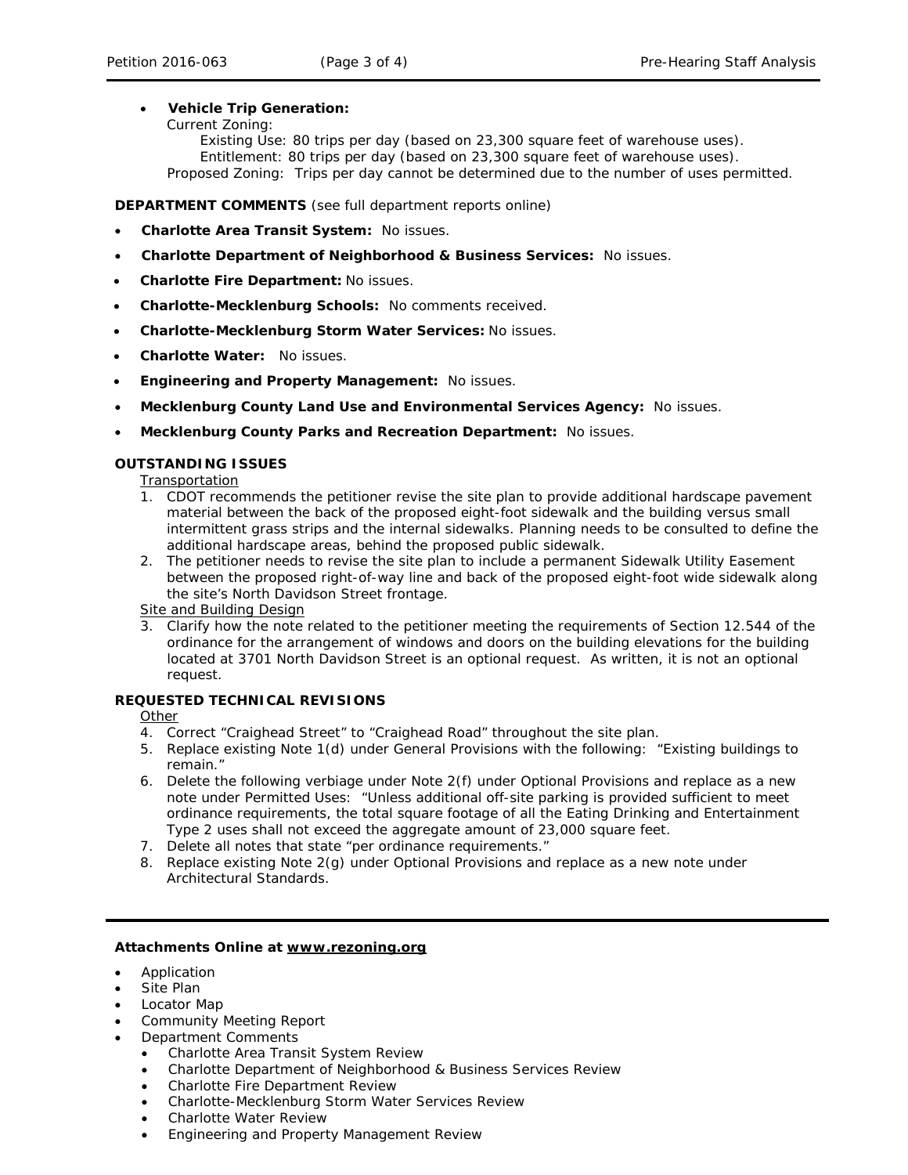## • **Vehicle Trip Generation:**

### Current Zoning:

Existing Use: 80 trips per day (based on 23,300 square feet of warehouse uses). Entitlement: 80 trips per day (based on 23,300 square feet of warehouse uses). Proposed Zoning: Trips per day cannot be determined due to the number of uses permitted.

**DEPARTMENT COMMENTS** (see full department reports online)

- **Charlotte Area Transit System:** No issues.
- **Charlotte Department of Neighborhood & Business Services:** No issues.
- **Charlotte Fire Department:** No issues.
- **Charlotte-Mecklenburg Schools:** No comments received.
- **Charlotte-Mecklenburg Storm Water Services:** No issues.
- **Charlotte Water:** No issues.
- **Engineering and Property Management:** No issues.
- **Mecklenburg County Land Use and Environmental Services Agency:** No issues.
- **Mecklenburg County Parks and Recreation Department:** No issues.

## **OUTSTANDING ISSUES**

Transportation

- 1. CDOT recommends the petitioner revise the site plan to provide additional hardscape pavement material between the back of the proposed eight-foot sidewalk and the building versus small intermittent grass strips and the internal sidewalks. Planning needs to be consulted to define the additional hardscape areas, behind the proposed public sidewalk.
- 2. The petitioner needs to revise the site plan to include a permanent Sidewalk Utility Easement between the proposed right-of-way line and back of the proposed eight-foot wide sidewalk along the site's North Davidson Street frontage.

Site and Building Design

3. Clarify how the note related to the petitioner meeting the requirements of Section 12.544 of the ordinance for the arrangement of windows and doors on the building elevations for the building located at 3701 North Davidson Street is an optional request. As written, it is not an optional request.

### **REQUESTED TECHNICAL REVISIONS**

**Other** 

- 4. Correct "Craighead Street" to "Craighead Road" throughout the site plan.
- 5. Replace existing Note 1(d) under General Provisions with the following: "Existing buildings to remain."
- 6. Delete the following verbiage under Note 2(f) under Optional Provisions and replace as a new note under Permitted Uses: "Unless additional off-site parking is provided sufficient to meet ordinance requirements, the total square footage of all the Eating Drinking and Entertainment Type 2 uses shall not exceed the aggregate amount of 23,000 square feet.
- 7. Delete all notes that state "per ordinance requirements."
- 8. Replace existing Note 2(g) under Optional Provisions and replace as a new note under Architectural Standards.

### **Attachments Online at www.rezoning.org**

- Application
- Site Plan
- Locator Map
- Community Meeting Report
- Department Comments
	- Charlotte Area Transit System Review
	- Charlotte Department of Neighborhood & Business Services Review
	- Charlotte Fire Department Review
	- Charlotte-Mecklenburg Storm Water Services Review
	- Charlotte Water Review
	- Engineering and Property Management Review